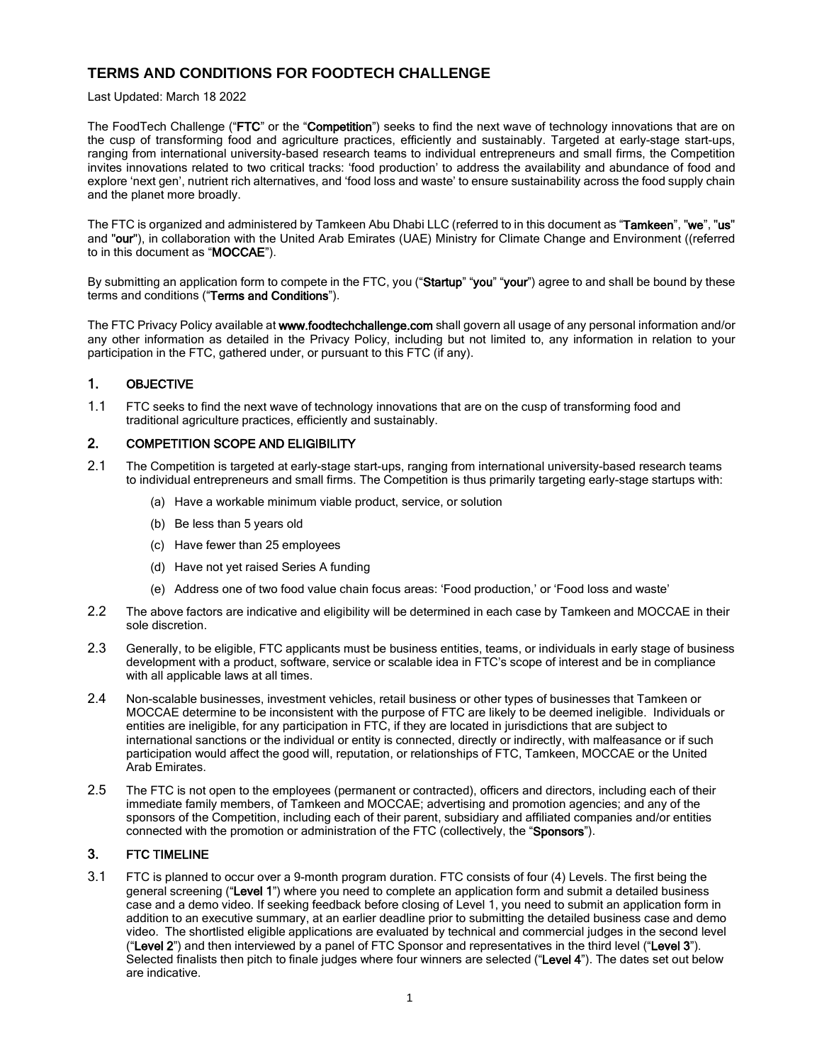# **TERMS AND CONDITIONS FOR FOODTECH CHALLENGE**

#### Last Updated: March 18 2022

The FoodTech Challenge ("FTC" or the "Competition") seeks to find the next wave of technology innovations that are on the cusp of transforming food and agriculture practices, efficiently and sustainably. Targeted at early-stage start-ups, ranging from international university-based research teams to individual entrepreneurs and small firms, the Competition invites innovations related to two critical tracks: 'food production' to address the availability and abundance of food and explore 'next gen', nutrient rich alternatives, and 'food loss and waste' to ensure sustainability across the food supply chain and the planet more broadly.

The FTC is organized and administered by Tamkeen Abu Dhabi LLC (referred to in this document as "Tamkeen", "we", "us" and "our"), in collaboration with the United Arab Emirates (UAE) Ministry for Climate Change and Environment ((referred to in this document as "MOCCAE").

By submitting an application form to compete in the FTC, you ("Startup" "you" "your") agree to and shall be bound by these terms and conditions ("Terms and Conditions").

The FTC Privacy Policy available at www.foodtechchallenge.com shall govern all usage of any personal information and/or any other information as detailed in the Privacy Policy, including but not limited to, any information in relation to your participation in the FTC, gathered under, or pursuant to this FTC (if any).

## 1. OBJECTIVE

1.1 FTC seeks to find the next wave of technology innovations that are on the cusp of transforming food and traditional agriculture practices, efficiently and sustainably.

#### 2. COMPETITION SCOPE AND ELIGIBILITY

- 2.1 The Competition is targeted at early-stage start-ups, ranging from international university-based research teams to individual entrepreneurs and small firms. The Competition is thus primarily targeting early-stage startups with:
	- (a) Have a workable minimum viable product, service, or solution
	- (b) Be less than 5 years old
	- (c) Have fewer than 25 employees
	- (d) Have not yet raised Series A funding
	- (e) Address one of two food value chain focus areas: 'Food production,' or 'Food loss and waste'
- 2.2 The above factors are indicative and eligibility will be determined in each case by Tamkeen and MOCCAE in their sole discretion.
- 2.3 Generally, to be eligible, FTC applicants must be business entities, teams, or individuals in early stage of business development with a product, software, service or scalable idea in FTC's scope of interest and be in compliance with all applicable laws at all times.
- 2.4 Non-scalable businesses, investment vehicles, retail business or other types of businesses that Tamkeen or MOCCAE determine to be inconsistent with the purpose of FTC are likely to be deemed ineligible. Individuals or entities are ineligible, for any participation in FTC, if they are located in jurisdictions that are subject to international sanctions or the individual or entity is connected, directly or indirectly, with malfeasance or if such participation would affect the good will, reputation, or relationships of FTC, Tamkeen, MOCCAE or the United Arab Emirates.
- 2.5 The FTC is not open to the employees (permanent or contracted), officers and directors, including each of their immediate family members, of Tamkeen and MOCCAE; advertising and promotion agencies; and any of the sponsors of the Competition, including each of their parent, subsidiary and affiliated companies and/or entities connected with the promotion or administration of the FTC (collectively, the "Sponsors").

#### 3. FTC TIMELINE

3.1 FTC is planned to occur over a 9-month program duration. FTC consists of four (4) Levels. The first being the general screening ("Level 1") where you need to complete an application form and submit a detailed business case and a demo video. If seeking feedback before closing of Level 1, you need to submit an application form in addition to an executive summary, at an earlier deadline prior to submitting the detailed business case and demo video. The shortlisted eligible applications are evaluated by technical and commercial judges in the second level ("Level 2") and then interviewed by a panel of FTC Sponsor and representatives in the third level ("Level 3"). Selected finalists then pitch to finale judges where four winners are selected ("Level 4"). The dates set out below are indicative.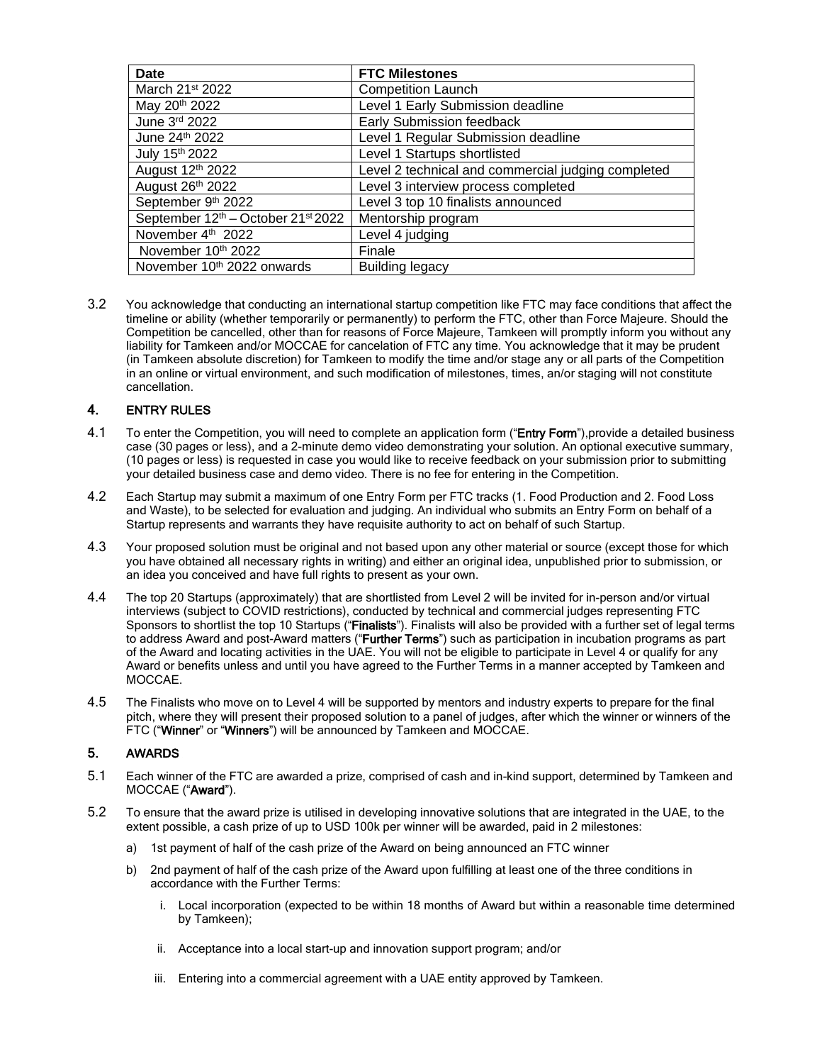| <b>Date</b>                        | <b>FTC Milestones</b>                              |
|------------------------------------|----------------------------------------------------|
| March 21 <sup>st</sup> 2022        | <b>Competition Launch</b>                          |
| May 20 <sup>th</sup> 2022          | Level 1 Early Submission deadline                  |
| June 3rd 2022                      | Early Submission feedback                          |
| June 24th 2022                     | Level 1 Regular Submission deadline                |
| July 15th 2022                     | Level 1 Startups shortlisted                       |
| August 12th 2022                   | Level 2 technical and commercial judging completed |
| August 26th 2022                   | Level 3 interview process completed                |
| September 9th 2022                 | Level 3 top 10 finalists announced                 |
| September 12th - October 21st 2022 | Mentorship program                                 |
| November 4th 2022                  | Level 4 judging                                    |
| November 10th 2022                 | Finale                                             |
| November 10th 2022 onwards         | <b>Building legacy</b>                             |

3.2 You acknowledge that conducting an international startup competition like FTC may face conditions that affect the timeline or ability (whether temporarily or permanently) to perform the FTC, other than Force Majeure. Should the Competition be cancelled, other than for reasons of Force Majeure, Tamkeen will promptly inform you without any liability for Tamkeen and/or MOCCAE for cancelation of FTC any time. You acknowledge that it may be prudent (in Tamkeen absolute discretion) for Tamkeen to modify the time and/or stage any or all parts of the Competition in an online or virtual environment, and such modification of milestones, times, an/or staging will not constitute cancellation.

### 4. ENTRY RULES

- 4.1 To enter the Competition, you will need to complete an application form ("Entry Form"), provide a detailed business case (30 pages or less), and a 2-minute demo video demonstrating your solution. An optional executive summary, (10 pages or less) is requested in case you would like to receive feedback on your submission prior to submitting your detailed business case and demo video. There is no fee for entering in the Competition.
- 4.2 Each Startup may submit a maximum of one Entry Form per FTC tracks (1. Food Production and 2. Food Loss and Waste), to be selected for evaluation and judging. An individual who submits an Entry Form on behalf of a Startup represents and warrants they have requisite authority to act on behalf of such Startup.
- 4.3 Your proposed solution must be original and not based upon any other material or source (except those for which you have obtained all necessary rights in writing) and either an original idea, unpublished prior to submission, or an idea you conceived and have full rights to present as your own.
- 4.4 The top 20 Startups (approximately) that are shortlisted from Level 2 will be invited for in-person and/or virtual interviews (subject to COVID restrictions), conducted by technical and commercial judges representing FTC Sponsors to shortlist the top 10 Startups ("Finalists"). Finalists will also be provided with a further set of legal terms to address Award and post-Award matters ("Further Terms") such as participation in incubation programs as part of the Award and locating activities in the UAE. You will not be eligible to participate in Level 4 or qualify for any Award or benefits unless and until you have agreed to the Further Terms in a manner accepted by Tamkeen and MOCCAE.
- 4.5 The Finalists who move on to Level 4 will be supported by mentors and industry experts to prepare for the final pitch, where they will present their proposed solution to a panel of judges, after which the winner or winners of the FTC ("Winner" or "Winners") will be announced by Tamkeen and MOCCAE.

### 5. AWARDS

- 5.1 Each winner of the FTC are awarded a prize, comprised of cash and in-kind support, determined by Tamkeen and MOCCAE ("Award").
- 5.2 To ensure that the award prize is utilised in developing innovative solutions that are integrated in the UAE, to the extent possible, a cash prize of up to USD 100k per winner will be awarded, paid in 2 milestones:
	- a) 1st payment of half of the cash prize of the Award on being announced an FTC winner
	- b) 2nd payment of half of the cash prize of the Award upon fulfilling at least one of the three conditions in accordance with the Further Terms:
		- i. Local incorporation (expected to be within 18 months of Award but within a reasonable time determined by Tamkeen);
		- ii. Acceptance into a local start-up and innovation support program; and/or
		- iii. Entering into a commercial agreement with a UAE entity approved by Tamkeen.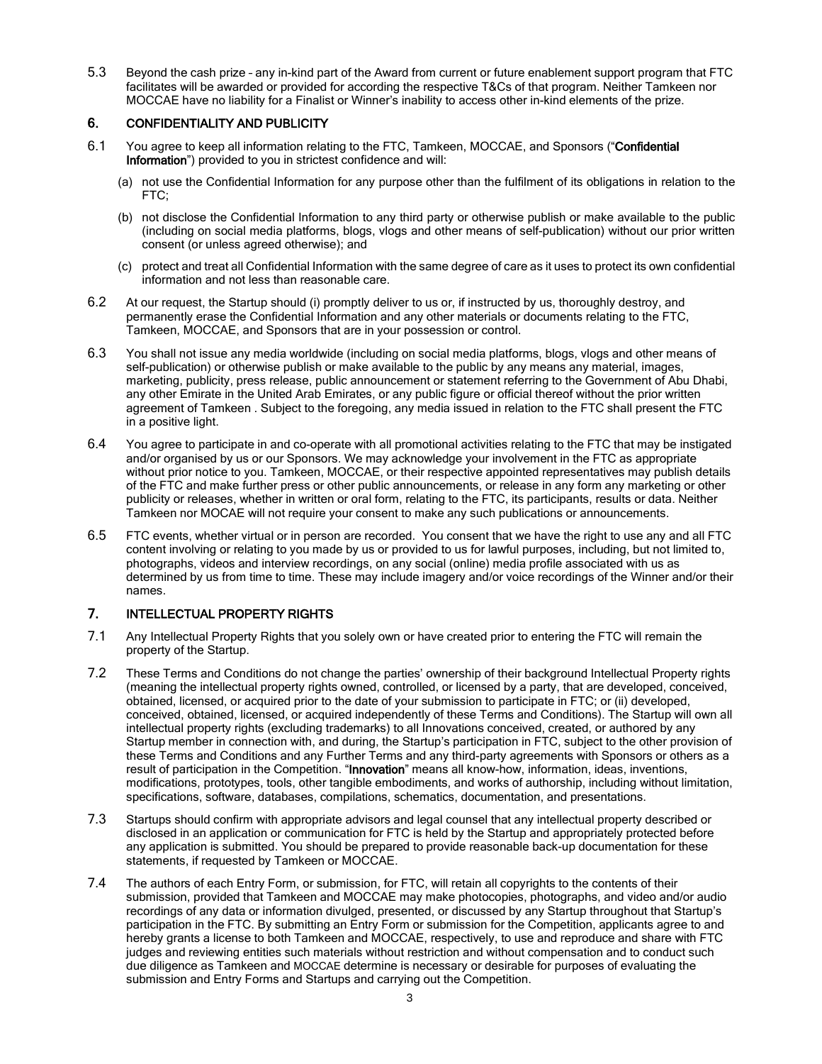5.3 Beyond the cash prize – any in-kind part of the Award from current or future enablement support program that FTC facilitates will be awarded or provided for according the respective T&Cs of that program. Neither Tamkeen nor MOCCAE have no liability for a Finalist or Winner's inability to access other in-kind elements of the prize.

### 6. CONFIDENTIALITY AND PUBLICITY

- 6.1 You agree to keep all information relating to the FTC, Tamkeen, MOCCAE, and Sponsors ("Confidential Information") provided to you in strictest confidence and will:
	- (a) not use the Confidential Information for any purpose other than the fulfilment of its obligations in relation to the FTC;
	- (b) not disclose the Confidential Information to any third party or otherwise publish or make available to the public (including on social media platforms, blogs, vlogs and other means of self-publication) without our prior written consent (or unless agreed otherwise); and
	- (c) protect and treat all Confidential Information with the same degree of care as it uses to protect its own confidential information and not less than reasonable care.
- 6.2 At our request, the Startup should (i) promptly deliver to us or, if instructed by us, thoroughly destroy, and permanently erase the Confidential Information and any other materials or documents relating to the FTC, Tamkeen, MOCCAE, and Sponsors that are in your possession or control.
- 6.3 You shall not issue any media worldwide (including on social media platforms, blogs, vlogs and other means of self-publication) or otherwise publish or make available to the public by any means any material, images, marketing, publicity, press release, public announcement or statement referring to the Government of Abu Dhabi, any other Emirate in the United Arab Emirates, or any public figure or official thereof without the prior written agreement of Tamkeen . Subject to the foregoing, any media issued in relation to the FTC shall present the FTC in a positive light.
- 6.4 You agree to participate in and co-operate with all promotional activities relating to the FTC that may be instigated and/or organised by us or our Sponsors. We may acknowledge your involvement in the FTC as appropriate without prior notice to you. Tamkeen, MOCCAE, or their respective appointed representatives may publish details of the FTC and make further press or other public announcements, or release in any form any marketing or other publicity or releases, whether in written or oral form, relating to the FTC, its participants, results or data. Neither Tamkeen nor MOCAE will not require your consent to make any such publications or announcements.
- 6.5 FTC events, whether virtual or in person are recorded. You consent that we have the right to use any and all FTC content involving or relating to you made by us or provided to us for lawful purposes, including, but not limited to, photographs, videos and interview recordings, on any social (online) media profile associated with us as determined by us from time to time. These may include imagery and/or voice recordings of the Winner and/or their names.

# 7. INTELLECTUAL PROPERTY RIGHTS

- 7.1 Any Intellectual Property Rights that you solely own or have created prior to entering the FTC will remain the property of the Startup.
- 7.2 These Terms and Conditions do not change the parties' ownership of their background Intellectual Property rights (meaning the intellectual property rights owned, controlled, or licensed by a party, that are developed, conceived, obtained, licensed, or acquired prior to the date of your submission to participate in FTC; or (ii) developed, conceived, obtained, licensed, or acquired independently of these Terms and Conditions). The Startup will own all intellectual property rights (excluding trademarks) to all Innovations conceived, created, or authored by any Startup member in connection with, and during, the Startup's participation in FTC, subject to the other provision of these Terms and Conditions and any Further Terms and any third-party agreements with Sponsors or others as a result of participation in the Competition. "Innovation" means all know-how, information, ideas, inventions, modifications, prototypes, tools, other tangible embodiments, and works of authorship, including without limitation, specifications, software, databases, compilations, schematics, documentation, and presentations.
- 7.3 Startups should confirm with appropriate advisors and legal counsel that any intellectual property described or disclosed in an application or communication for FTC is held by the Startup and appropriately protected before any application is submitted. You should be prepared to provide reasonable back-up documentation for these statements, if requested by Tamkeen or MOCCAE.
- 7.4 The authors of each Entry Form, or submission, for FTC, will retain all copyrights to the contents of their submission, provided that Tamkeen and MOCCAE may make photocopies, photographs, and video and/or audio recordings of any data or information divulged, presented, or discussed by any Startup throughout that Startup's participation in the FTC. By submitting an Entry Form or submission for the Competition, applicants agree to and hereby grants a license to both Tamkeen and MOCCAE, respectively, to use and reproduce and share with FTC judges and reviewing entities such materials without restriction and without compensation and to conduct such due diligence as Tamkeen and MOCCAE determine is necessary or desirable for purposes of evaluating the submission and Entry Forms and Startups and carrying out the Competition.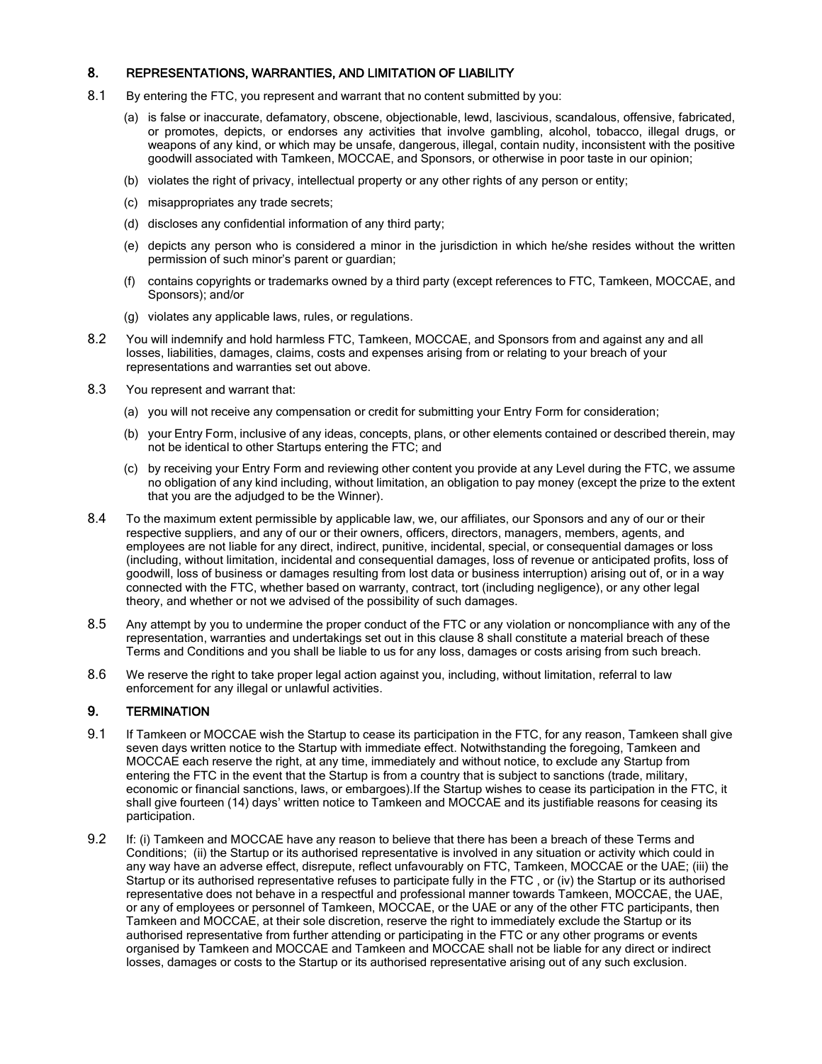#### 8. REPRESENTATIONS, WARRANTIES, AND LIMITATION OF LIABILITY

- 8.1 By entering the FTC, you represent and warrant that no content submitted by you:
	- (a) is false or inaccurate, defamatory, obscene, objectionable, lewd, lascivious, scandalous, offensive, fabricated, or promotes, depicts, or endorses any activities that involve gambling, alcohol, tobacco, illegal drugs, or weapons of any kind, or which may be unsafe, dangerous, illegal, contain nudity, inconsistent with the positive goodwill associated with Tamkeen, MOCCAE, and Sponsors, or otherwise in poor taste in our opinion;
	- (b) violates the right of privacy, intellectual property or any other rights of any person or entity;
	- (c) misappropriates any trade secrets;
	- (d) discloses any confidential information of any third party;
	- (e) depicts any person who is considered a minor in the jurisdiction in which he/she resides without the written permission of such minor's parent or guardian;
	- (f) contains copyrights or trademarks owned by a third party (except references to FTC, Tamkeen, MOCCAE, and Sponsors); and/or
	- (g) violates any applicable laws, rules, or regulations.
- 8.2 You will indemnify and hold harmless FTC, Tamkeen, MOCCAE, and Sponsors from and against any and all losses, liabilities, damages, claims, costs and expenses arising from or relating to your breach of your representations and warranties set out above.
- 8.3 You represent and warrant that:
	- (a) you will not receive any compensation or credit for submitting your Entry Form for consideration;
	- (b) your Entry Form, inclusive of any ideas, concepts, plans, or other elements contained or described therein, may not be identical to other Startups entering the FTC; and
	- (c) by receiving your Entry Form and reviewing other content you provide at any Level during the FTC, we assume no obligation of any kind including, without limitation, an obligation to pay money (except the prize to the extent that you are the adjudged to be the Winner).
- 8.4 To the maximum extent permissible by applicable law, we, our affiliates, our Sponsors and any of our or their respective suppliers, and any of our or their owners, officers, directors, managers, members, agents, and employees are not liable for any direct, indirect, punitive, incidental, special, or consequential damages or loss (including, without limitation, incidental and consequential damages, loss of revenue or anticipated profits, loss of goodwill, loss of business or damages resulting from lost data or business interruption) arising out of, or in a way connected with the FTC, whether based on warranty, contract, tort (including negligence), or any other legal theory, and whether or not we advised of the possibility of such damages.
- 8.5 Any attempt by you to undermine the proper conduct of the FTC or any violation or noncompliance with any of the representation, warranties and undertakings set out in this clause 8 shall constitute a material breach of these Terms and Conditions and you shall be liable to us for any loss, damages or costs arising from such breach.
- 8.6 We reserve the right to take proper legal action against you, including, without limitation, referral to law enforcement for any illegal or unlawful activities.

#### 9. TERMINATION

- 9.1 If Tamkeen or MOCCAE wish the Startup to cease its participation in the FTC, for any reason, Tamkeen shall give seven days written notice to the Startup with immediate effect. Notwithstanding the foregoing, Tamkeen and MOCCAE each reserve the right, at any time, immediately and without notice, to exclude any Startup from entering the FTC in the event that the Startup is from a country that is subject to sanctions (trade, military, economic or financial sanctions, laws, or embargoes).If the Startup wishes to cease its participation in the FTC, it shall give fourteen (14) days' written notice to Tamkeen and MOCCAE and its justifiable reasons for ceasing its participation.
- 9.2 If: (i) Tamkeen and MOCCAE have any reason to believe that there has been a breach of these Terms and Conditions; (ii) the Startup or its authorised representative is involved in any situation or activity which could in any way have an adverse effect, disrepute, reflect unfavourably on FTC, Tamkeen, MOCCAE or the UAE; (iii) the Startup or its authorised representative refuses to participate fully in the FTC , or (iv) the Startup or its authorised representative does not behave in a respectful and professional manner towards Tamkeen, MOCCAE, the UAE, or any of employees or personnel of Tamkeen, MOCCAE, or the UAE or any of the other FTC participants, then Tamkeen and MOCCAE, at their sole discretion, reserve the right to immediately exclude the Startup or its authorised representative from further attending or participating in the FTC or any other programs or events organised by Tamkeen and MOCCAE and Tamkeen and MOCCAE shall not be liable for any direct or indirect losses, damages or costs to the Startup or its authorised representative arising out of any such exclusion.